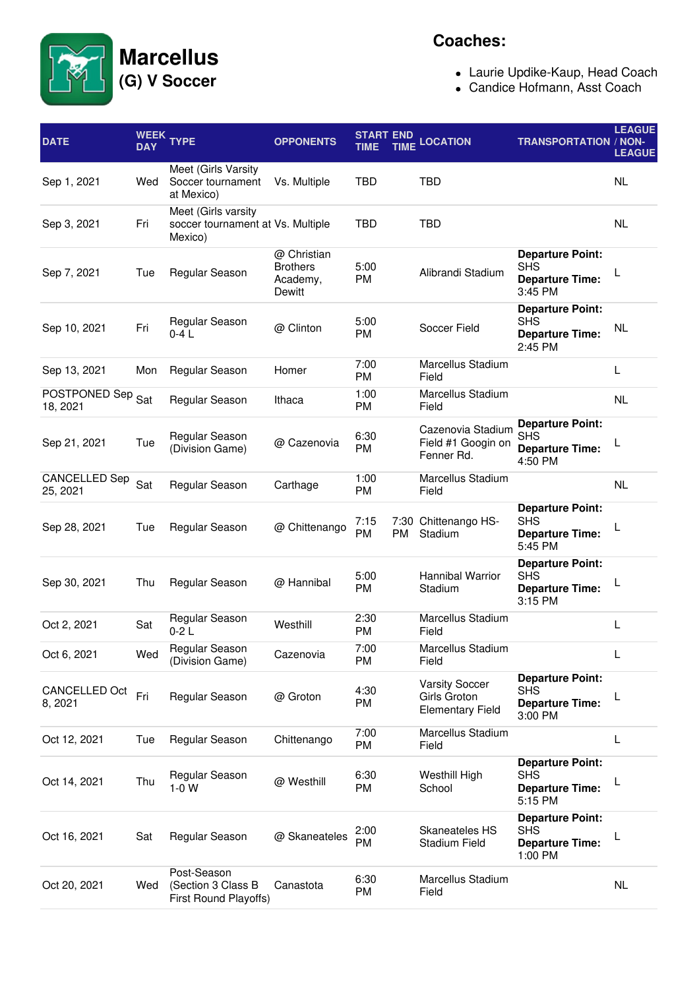

## **Coaches:**

- Laurie Updike-Kaup, Head Coach
- Candice Hofmann, Asst Coach

| <b>DATE</b>                      | WEEK<br><b>DAY</b> | <b>TYPE</b>                                                         | <b>OPPONENTS</b>                                     | <b>START END</b><br>TIME | <b>TIME</b> | <b>LOCATION</b>                                                  | <b>TRANSPORTATION / NON-</b>                                               | <b>LEAGUE</b><br><b>LEAGUE</b> |
|----------------------------------|--------------------|---------------------------------------------------------------------|------------------------------------------------------|--------------------------|-------------|------------------------------------------------------------------|----------------------------------------------------------------------------|--------------------------------|
| Sep 1, 2021                      | Wed                | Meet (Girls Varsity<br>Soccer tournament<br>at Mexico)              | Vs. Multiple                                         | <b>TBD</b>               |             | <b>TBD</b>                                                       |                                                                            | NL                             |
| Sep 3, 2021                      | Fri                | Meet (Girls varsity<br>soccer tournament at Vs. Multiple<br>Mexico) |                                                      | <b>TBD</b>               |             | <b>TBD</b>                                                       |                                                                            | <b>NL</b>                      |
| Sep 7, 2021                      | Tue                | Regular Season                                                      | @ Christian<br><b>Brothers</b><br>Academy,<br>Dewitt | 5:00<br>PM               |             | Alibrandi Stadium                                                | <b>Departure Point:</b><br><b>SHS</b><br><b>Departure Time:</b><br>3:45 PM | L                              |
| Sep 10, 2021                     | Fri                | Regular Season<br>$0-4L$                                            | @ Clinton                                            | 5:00<br><b>PM</b>        |             | Soccer Field                                                     | <b>Departure Point:</b><br><b>SHS</b><br><b>Departure Time:</b><br>2:45 PM | NL.                            |
| Sep 13, 2021                     | Mon                | Regular Season                                                      | Homer                                                | 7:00<br><b>PM</b>        |             | Marcellus Stadium<br>Field                                       |                                                                            | L                              |
| POSTPONED Sep Sat<br>18, 2021    |                    | Regular Season                                                      | Ithaca                                               | 1:00<br><b>PM</b>        |             | Marcellus Stadium<br>Field                                       |                                                                            | <b>NL</b>                      |
| Sep 21, 2021                     | Tue                | Regular Season<br>(Division Game)                                   | @ Cazenovia                                          | 6:30<br>PM               |             | Cazenovia Stadium<br>Field #1 Googin on<br>Fenner Rd.            | <b>Departure Point:</b><br><b>SHS</b><br><b>Departure Time:</b><br>4:50 PM | L                              |
| <b>CANCELLED Sep</b><br>25, 2021 | Sat                | Regular Season                                                      | Carthage                                             | 1:00<br>PM               |             | Marcellus Stadium<br>Field                                       |                                                                            | <b>NL</b>                      |
| Sep 28, 2021                     | Tue                | Regular Season                                                      | @ Chittenango                                        | 7:15<br>PM               | PM          | 7:30 Chittenango HS-<br>Stadium                                  | <b>Departure Point:</b><br><b>SHS</b><br><b>Departure Time:</b><br>5:45 PM | L                              |
| Sep 30, 2021                     | Thu                | Regular Season                                                      | @ Hannibal                                           | 5:00<br><b>PM</b>        |             | <b>Hannibal Warrior</b><br>Stadium                               | <b>Departure Point:</b><br><b>SHS</b><br><b>Departure Time:</b><br>3:15 PM | L                              |
| Oct 2, 2021                      | Sat                | Regular Season<br>$0-2L$                                            | Westhill                                             | 2:30<br><b>PM</b>        |             | Marcellus Stadium<br>Field                                       |                                                                            | L                              |
| Oct 6, 2021                      | Wed                | Regular Season<br>(Division Game)                                   | Cazenovia                                            | 7:00<br>PM               |             | Marcellus Stadium<br>Field                                       |                                                                            | L                              |
| <b>CANCELLED Oct</b><br>8, 2021  | Fri                | Regular Season                                                      | @ Groton                                             | 4:30<br><b>PM</b>        |             | <b>Varsity Soccer</b><br>Girls Groton<br><b>Elementary Field</b> | <b>Departure Point:</b><br><b>SHS</b><br><b>Departure Time:</b><br>3:00 PM | L                              |
| Oct 12, 2021                     | Tue                | Regular Season                                                      | Chittenango                                          | 7:00<br>PM               |             | Marcellus Stadium<br>Field                                       |                                                                            | L                              |
| Oct 14, 2021                     | Thu                | Regular Season<br>$1-0$ W                                           | @ Westhill                                           | 6:30<br><b>PM</b>        |             | <b>Westhill High</b><br>School                                   | <b>Departure Point:</b><br><b>SHS</b><br><b>Departure Time:</b><br>5:15 PM | L                              |
| Oct 16, 2021                     | Sat                | Regular Season                                                      | @ Skaneateles                                        | 2:00<br><b>PM</b>        |             | <b>Skaneateles HS</b><br><b>Stadium Field</b>                    | <b>Departure Point:</b><br><b>SHS</b><br><b>Departure Time:</b><br>1:00 PM | L                              |
| Oct 20, 2021                     | Wed                | Post-Season<br>(Section 3 Class B<br>First Round Playoffs)          | Canastota                                            | 6:30<br><b>PM</b>        |             | Marcellus Stadium<br>Field                                       |                                                                            | <b>NL</b>                      |